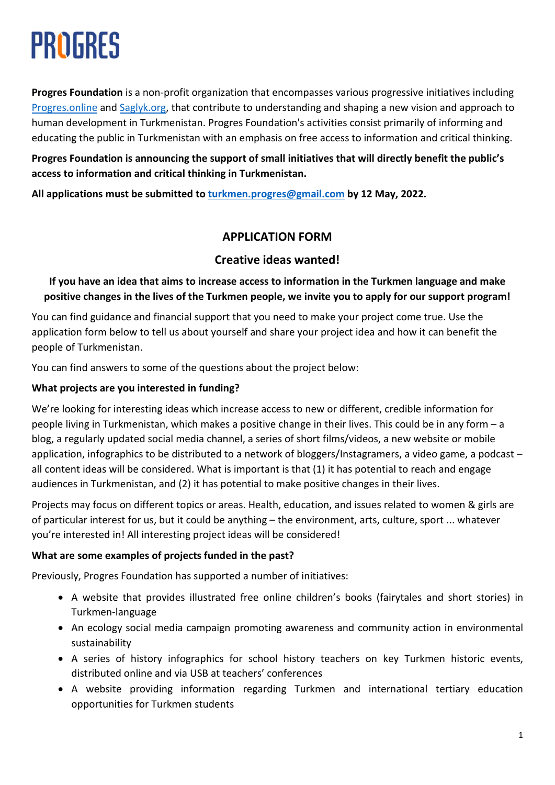# PROGRES

**Progres Foundation** is a non-profit organization that encompasses various progressive initiatives including Progres.online and Saglyk.org, that contribute to understanding and shaping a new vision and approach to human development in Turkmenistan. Progres Foundation's activities consist primarily of informing and educating the public in Turkmenistan with an emphasis on free access to information and critical thinking.

**Progres Foundation is announcing the support of small initiatives that will directly benefit the public's access to information and critical thinking in Turkmenistan.**

**All applications must be submitted to turkmen.progres@gmail.com by 12 May, 2022.**

# **APPLICATION FORM**

# **Creative ideas wanted!**

**If you have an idea that aims to increase access to information in the Turkmen language and make positive changes in the lives of the Turkmen people, we invite you to apply for our support program!**

You can find guidance and financial support that you need to make your project come true. Use the application form below to tell us about yourself and share your project idea and how it can benefit the people of Turkmenistan.

You can find answers to some of the questions about the project below:

## **What projects are you interested in funding?**

We're looking for interesting ideas which increase access to new or different, credible information for people living in Turkmenistan, which makes a positive change in their lives. This could be in any form – a blog, a regularly updated social media channel, a series of short films/videos, a new website or mobile application, infographics to be distributed to a network of bloggers/Instagramers, a video game, a podcast – all content ideas will be considered. What is important is that (1) it has potential to reach and engage audiences in Turkmenistan, and (2) it has potential to make positive changes in their lives.

Projects may focus on different topics or areas. Health, education, and issues related to women & girls are of particular interest for us, but it could be anything – the environment, arts, culture, sport ... whatever you're interested in! All interesting project ideas will be considered!

# **What are some examples of projects funded in the past?**

Previously, Progres Foundation has supported a number of initiatives:

- A website that provides illustrated free online children's books (fairytales and short stories) in Turkmen-language
- An ecology social media campaign promoting awareness and community action in environmental sustainability
- A series of history infographics for school history teachers on key Turkmen historic events, distributed online and via USB at teachers' conferences
- A website providing information regarding Turkmen and international tertiary education opportunities for Turkmen students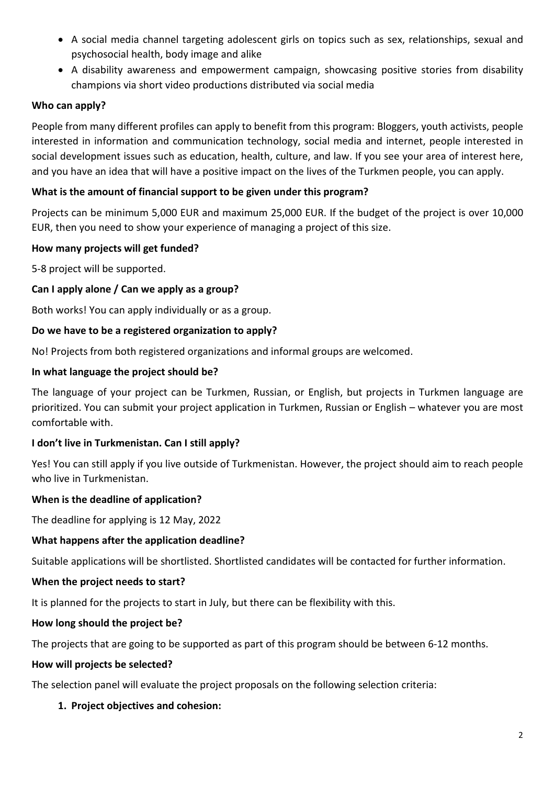- A social media channel targeting adolescent girls on topics such as sex, relationships, sexual and psychosocial health, body image and alike
- A disability awareness and empowerment campaign, showcasing positive stories from disability champions via short video productions distributed via social media

## **Who can apply?**

People from many different profiles can apply to benefit from this program: Bloggers, youth activists, people interested in information and communication technology, social media and internet, people interested in social development issues such as education, health, culture, and law. If you see your area of interest here, and you have an idea that will have a positive impact on the lives of the Turkmen people, you can apply.

## **What is the amount of financial support to be given under this program?**

Projects can be minimum 5,000 EUR and maximum 25,000 EUR. If the budget of the project is over 10,000 EUR, then you need to show your experience of managing a project of this size.

## **How many projects will get funded?**

5-8 project will be supported.

## **Can I apply alone / Can we apply as a group?**

Both works! You can apply individually or as a group.

## **Do we have to be a registered organization to apply?**

No! Projects from both registered organizations and informal groups are welcomed.

#### **In what language the project should be?**

The language of your project can be Turkmen, Russian, or English, but projects in Turkmen language are prioritized. You can submit your project application in Turkmen, Russian or English – whatever you are most comfortable with.

## **I don't live in Turkmenistan. Can I still apply?**

Yes! You can still apply if you live outside of Turkmenistan. However, the project should aim to reach people who live in Turkmenistan.

## **When is the deadline of application?**

The deadline for applying is 12 May, 2022

#### **What happens after the application deadline?**

Suitable applications will be shortlisted. Shortlisted candidates will be contacted for further information.

## **When the project needs to start?**

It is planned for the projects to start in July, but there can be flexibility with this.

## **How long should the project be?**

The projects that are going to be supported as part of this program should be between 6-12 months.

#### **How will projects be selected?**

The selection panel will evaluate the project proposals on the following selection criteria:

## **1. Project objectives and cohesion:**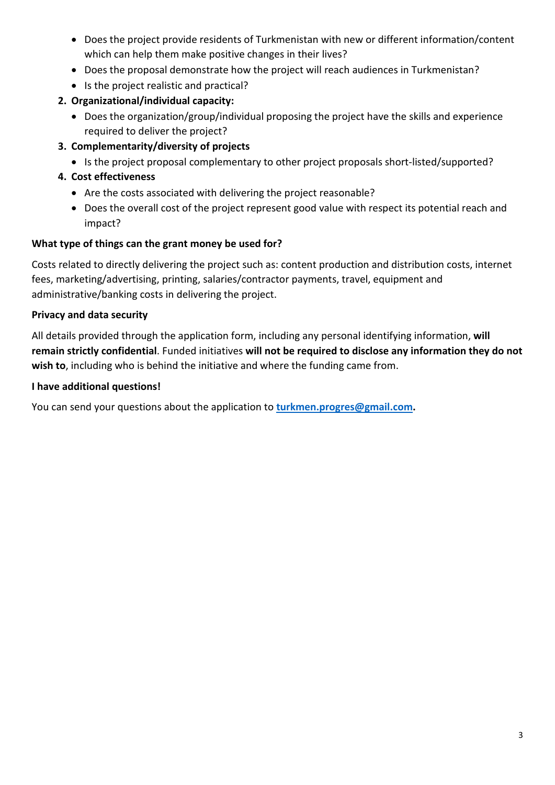- Does the project provide residents of Turkmenistan with new or different information/content which can help them make positive changes in their lives?
- Does the proposal demonstrate how the project will reach audiences in Turkmenistan?
- Is the project realistic and practical?

# **2. Organizational/individual capacity:**

- Does the organization/group/individual proposing the project have the skills and experience required to deliver the project?
- **3. Complementarity/diversity of projects**
	- Is the project proposal complementary to other project proposals short-listed/supported?
- **4. Cost effectiveness**
	- Are the costs associated with delivering the project reasonable?
	- Does the overall cost of the project represent good value with respect its potential reach and impact?

# **What type of things can the grant money be used for?**

Costs related to directly delivering the project such as: content production and distribution costs, internet fees, marketing/advertising, printing, salaries/contractor payments, travel, equipment and administrative/banking costs in delivering the project.

# **Privacy and data security**

All details provided through the application form, including any personal identifying information, **will remain strictly confidential**. Funded initiatives **will not be required to disclose any information they do not wish to**, including who is behind the initiative and where the funding came from.

## **I have additional questions!**

You can send your questions about the application to **turkmen.progres@gmail.com.**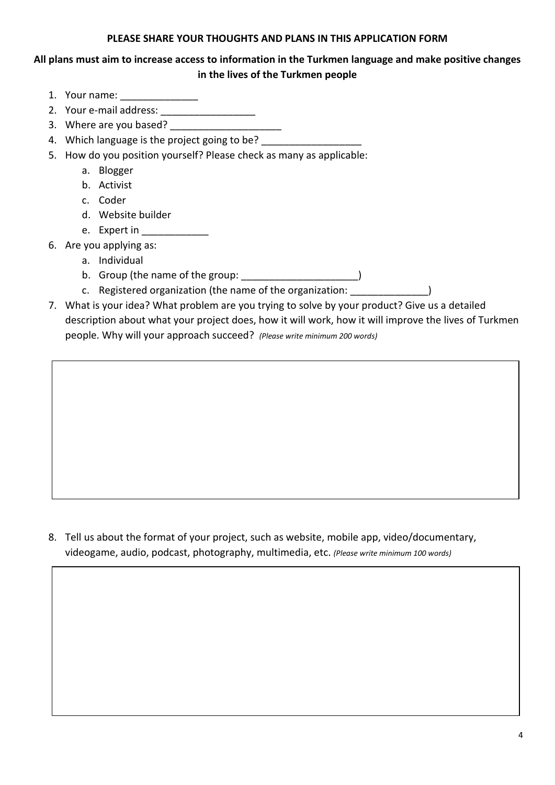#### **PLEASE SHARE YOUR THOUGHTS AND PLANS IN THIS APPLICATION FORM**

# **All plans must aim to increase access to information in the Turkmen language and make positive changes in the lives of the Turkmen people**

- 1. Your name: \_\_\_\_\_\_\_\_\_\_\_\_\_\_
- 2. Your e-mail address:
- 3. Where are you based?
- 4. Which language is the project going to be?
- 5. How do you position yourself? Please check as many as applicable:
	- a. Blogger
	- b. Activist
	- c. Coder
	- d. Website builder
	- e. Expert in \_\_\_\_\_\_\_\_\_\_\_\_
- 6. Are you applying as:
	- a. Individual
	- b. Group (the name of the group:  $\qquad \qquad$ )
	- c. Registered organization (the name of the organization: \_\_\_\_\_\_\_\_\_\_\_\_\_\_)
- 7. What is your idea? What problem are you trying to solve by your product? Give us a detailed description about what your project does, how it will work, how it will improve the lives of Turkmen people. Why will your approach succeed? *(Please write minimum 200 words)*

8. Tell us about the format of your project, such as website, mobile app, video/documentary, videogame, audio, podcast, photography, multimedia, etc. *(Please write minimum 100 words)*